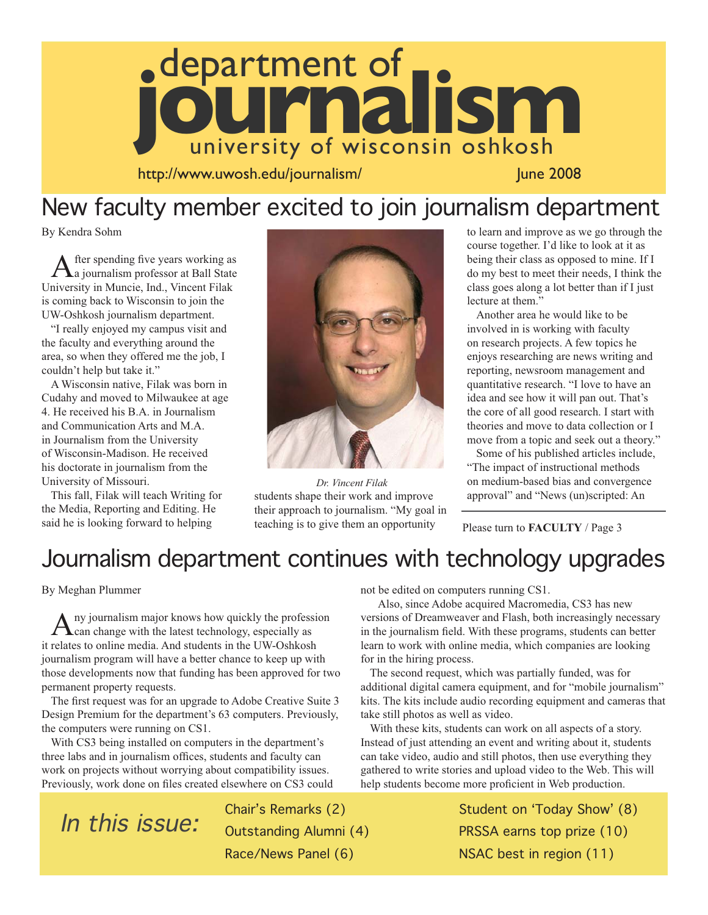

http://www.uwosh.edu/journalism/ June 2008

## New faculty member excited to join journalism department

By Kendra Sohm

After spending five years working as a journalism professor at Ball State University in Muncie, Ind., Vincent Filak is coming back to Wisconsin to join the UW-Oshkosh journalism department.

"I really enjoyed my campus visit and the faculty and everything around the area, so when they offered me the job, I couldn't help but take it."

A Wisconsin native, Filak was born in Cudahy and moved to Milwaukee at age 4. He received his B.A. in Journalism and Communication Arts and M.A. in Journalism from the University of Wisconsin-Madison. He received his doctorate in journalism from the University of Missouri.

This fall, Filak will teach Writing for the Media, Reporting and Editing. He said he is looking forward to helping



students shape their work and improve their approach to journalism. "My goal in teaching is to give them an opportunity *Dr. Vincent Filak*

to learn and improve as we go through the course together. I'd like to look at it as being their class as opposed to mine. If I do my best to meet their needs, I think the class goes along a lot better than if I just lecture at them."

Another area he would like to be involved in is working with faculty on research projects. A few topics he enjoys researching are news writing and reporting, newsroom management and quantitative research. "I love to have an idea and see how it will pan out. That's the core of all good research. I start with theories and move to data collection or I move from a topic and seek out a theory."

Some of his published articles include, "The impact of instructional methods on medium-based bias and convergence approval" and "News (un)scripted: An

Please turn to **FACULTY** / Page 3

## Journalism department continues with technology upgrades

By Meghan Plummer

Any journalism major knows how quickly the profession<br>can change with the latest technology, especially as it relates to online media. And students in the UW-Oshkosh journalism program will have a better chance to keep up with those developments now that funding has been approved for two permanent property requests.

The first request was for an upgrade to Adobe Creative Suite 3 Design Premium for the department's 63 computers. Previously, the computers were running on CS1.

With CS3 being installed on computers in the department's three labs and in journalism offices, students and faculty can work on projects without worrying about compatibility issues. Previously, work done on files created elsewhere on CS3 could not be edited on computers running CS1.

 Also, since Adobe acquired Macromedia, CS3 has new versions of Dreamweaver and Flash, both increasingly necessary in the journalism field. With these programs, students can better learn to work with online media, which companies are looking for in the hiring process.

The second request, which was partially funded, was for additional digital camera equipment, and for "mobile journalism" kits. The kits include audio recording equipment and cameras that take still photos as well as video.

With these kits, students can work on all aspects of a story. Instead of just attending an event and writing about it, students can take video, audio and still photos, then use everything they gathered to write stories and upload video to the Web. This will help students become more proficient in Web production.

> Student on ʻToday Show' (8) PRSSA earns top prize (10) NSAC best in region (11)

In this issue:

Chair's Remarks (2) Outstanding Alumni (4) Race/News Panel (6)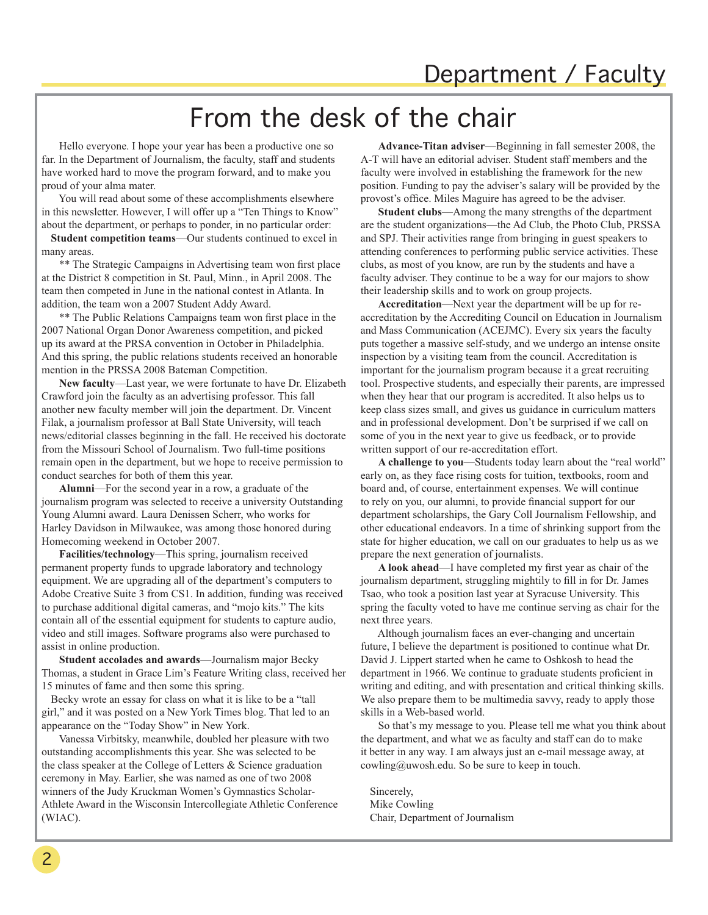# From the desk of the chair

 Hello everyone. I hope your year has been a productive one so far. In the Department of Journalism, the faculty, staff and students have worked hard to move the program forward, and to make you proud of your alma mater.

 You will read about some of these accomplishments elsewhere in this newsletter. However, I will offer up a "Ten Things to Know" about the department, or perhaps to ponder, in no particular order:

**Student competition teams**—Our students continued to excel in many areas.

 \*\* The Strategic Campaigns in Advertising team won first place at the District 8 competition in St. Paul, Minn., in April 2008. The team then competed in June in the national contest in Atlanta. In addition, the team won a 2007 Student Addy Award.

\*\* The Public Relations Campaigns team won first place in the 2007 National Organ Donor Awareness competition, and picked up its award at the PRSA convention in October in Philadelphia. And this spring, the public relations students received an honorable mention in the PRSSA 2008 Bateman Competition.

 **New faculty**—Last year, we were fortunate to have Dr. Elizabeth Crawford join the faculty as an advertising professor. This fall another new faculty member will join the department. Dr. Vincent Filak, a journalism professor at Ball State University, will teach news/editorial classes beginning in the fall. He received his doctorate from the Missouri School of Journalism. Two full-time positions remain open in the department, but we hope to receive permission to conduct searches for both of them this year.

 **Alumni**—For the second year in a row, a graduate of the journalism program was selected to receive a university Outstanding Young Alumni award. Laura Denissen Scherr, who works for Harley Davidson in Milwaukee, was among those honored during Homecoming weekend in October 2007.

 **Facilities/technology**—This spring, journalism received permanent property funds to upgrade laboratory and technology equipment. We are upgrading all of the department's computers to Adobe Creative Suite 3 from CS1. In addition, funding was received to purchase additional digital cameras, and "mojo kits." The kits contain all of the essential equipment for students to capture audio, video and still images. Software programs also were purchased to assist in online production.

 **Student accolades and awards**—Journalism major Becky Thomas, a student in Grace Lim's Feature Writing class, received her 15 minutes of fame and then some this spring.

Becky wrote an essay for class on what it is like to be a "tall girl," and it was posted on a New York Times blog. That led to an appearance on the "Today Show" in New York.

 Vanessa Virbitsky, meanwhile, doubled her pleasure with two outstanding accomplishments this year. She was selected to be the class speaker at the College of Letters & Science graduation ceremony in May. Earlier, she was named as one of two 2008 winners of the Judy Kruckman Women's Gymnastics Scholar-Athlete Award in the Wisconsin Intercollegiate Athletic Conference (WIAC).

 **Advance-Titan adviser**—Beginning in fall semester 2008, the A-T will have an editorial adviser. Student staff members and the faculty were involved in establishing the framework for the new position. Funding to pay the adviser's salary will be provided by the provost's office. Miles Maguire has agreed to be the adviser.

 **Student clubs**—Among the many strengths of the department are the student organizations—the Ad Club, the Photo Club, PRSSA and SPJ. Their activities range from bringing in guest speakers to attending conferences to performing public service activities. These clubs, as most of you know, are run by the students and have a faculty adviser. They continue to be a way for our majors to show their leadership skills and to work on group projects.

 **Accreditation**—Next year the department will be up for reaccreditation by the Accrediting Council on Education in Journalism and Mass Communication (ACEJMC). Every six years the faculty puts together a massive self-study, and we undergo an intense onsite inspection by a visiting team from the council. Accreditation is important for the journalism program because it a great recruiting tool. Prospective students, and especially their parents, are impressed when they hear that our program is accredited. It also helps us to keep class sizes small, and gives us guidance in curriculum matters and in professional development. Don't be surprised if we call on some of you in the next year to give us feedback, or to provide written support of our re-accreditation effort.

 **A challenge to you**—Students today learn about the "real world" early on, as they face rising costs for tuition, textbooks, room and board and, of course, entertainment expenses. We will continue to rely on you, our alumni, to provide financial support for our department scholarships, the Gary Coll Journalism Fellowship, and other educational endeavors. In a time of shrinking support from the state for higher education, we call on our graduates to help us as we prepare the next generation of journalists.

 **A look ahead**—I have completed my first year as chair of the journalism department, struggling mightily to fill in for Dr. James Tsao, who took a position last year at Syracuse University. This spring the faculty voted to have me continue serving as chair for the next three years.

 Although journalism faces an ever-changing and uncertain future, I believe the department is positioned to continue what Dr. David J. Lippert started when he came to Oshkosh to head the department in 1966. We continue to graduate students proficient in writing and editing, and with presentation and critical thinking skills. We also prepare them to be multimedia savvy, ready to apply those skills in a Web-based world.

 So that's my message to you. Please tell me what you think about the department, and what we as faculty and staff can do to make it better in any way. I am always just an e-mail message away, at cowling@uwosh.edu. So be sure to keep in touch.

Sincerely, Mike Cowling Chair, Department of Journalism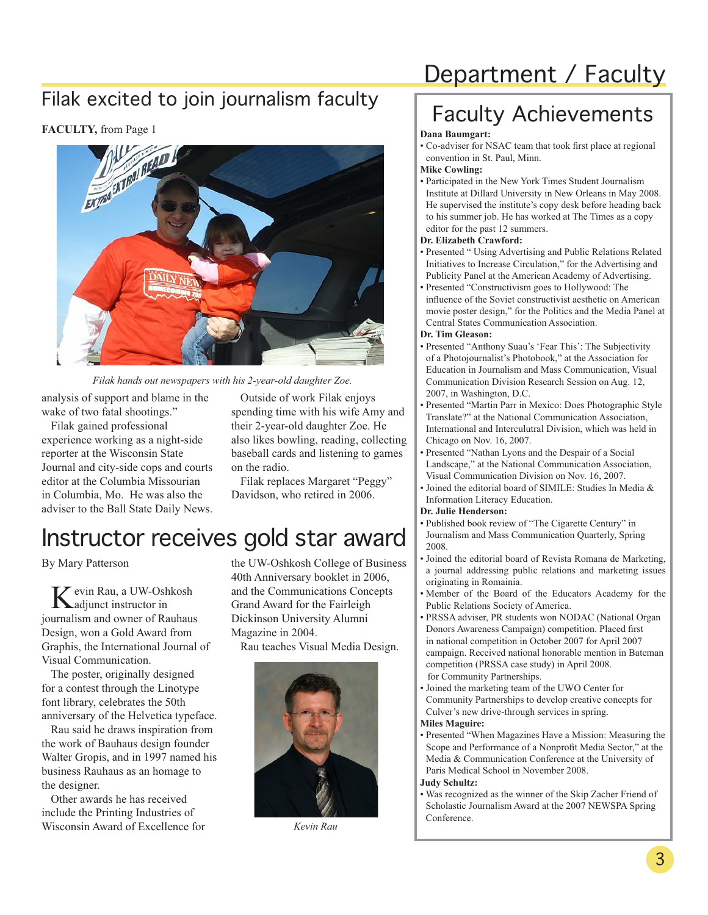#### Filak excited to join journalism faculty

#### **FACULTY,** from Page 1



*Filak hands out newspapers with his 2-year-old daughter Zoe.*

analysis of support and blame in the wake of two fatal shootings."

Filak gained professional experience working as a night-side reporter at the Wisconsin State Journal and city-side cops and courts editor at the Columbia Missourian in Columbia, Mo. He was also the adviser to the Ball State Daily News.

Outside of work Filak enjoys spending time with his wife Amy and their 2-year-old daughter Zoe. He also likes bowling, reading, collecting baseball cards and listening to games on the radio.

Filak replaces Margaret "Peggy" Davidson, who retired in 2006.

## Instructor receives gold star award

By Mary Patterson

vevin Rau, a UW-Oshkosh adjunct instructor in journalism and owner of Rauhaus Design, won a Gold Award from Graphis, the International Journal of Visual Communication.

The poster, originally designed for a contest through the Linotype font library, celebrates the 50th anniversary of the Helvetica typeface.

Rau said he draws inspiration from the work of Bauhaus design founder Walter Gropis, and in 1997 named his business Rauhaus as an homage to the designer.

Other awards he has received include the Printing Industries of Wisconsin Award of Excellence for the UW-Oshkosh College of Business 40th Anniversary booklet in 2006, and the Communications Concepts Grand Award for the Fairleigh Dickinson University Alumni Magazine in 2004.

Rau teaches Visual Media Design.



*Kevin Rau*

# Department / Faculty

# Faculty Achievements

#### **Dana Baumgart:**

• Co-adviser for NSAC team that took first place at regional convention in St. Paul, Minn.

#### **Mike Cowling:**

• Participated in the New York Times Student Journalism Institute at Dillard University in New Orleans in May 2008. He supervised the institute's copy desk before heading back to his summer job. He has worked at The Times as a copy editor for the past 12 summers.

#### **Dr. Elizabeth Crawford:**

- Presented " Using Advertising and Public Relations Related Initiatives to Increase Circulation," for the Advertising and Publicity Panel at the American Academy of Advertising.
- Presented "Constructivism goes to Hollywood: The influence of the Soviet constructivist aesthetic on American movie poster design," for the Politics and the Media Panel at Central States Communication Association.

#### **Dr. Tim Gleason:**

- Presented "Anthony Suau's 'Fear This': The Subjectivity of a Photojournalist's Photobook," at the Association for Education in Journalism and Mass Communication, Visual Communication Division Research Session on Aug. 12, 2007, in Washington, D.C.
- Presented "Martin Parr in Mexico: Does Photographic Style Translate?" at the National Communication Association, International and Interculutral Division, which was held in Chicago on Nov. 16, 2007.
- Presented "Nathan Lyons and the Despair of a Social Landscape," at the National Communication Association, Visual Communication Division on Nov. 16, 2007.
- Joined the editorial board of SIMILE: Studies In Media & Information Literacy Education.

#### **Dr. Julie Henderson:**

- Published book review of "The Cigarette Century" in Journalism and Mass Communication Quarterly, Spring 2008.
- Joined the editorial board of Revista Romana de Marketing, a journal addressing public relations and marketing issues originating in Romainia.
- Member of the Board of the Educators Academy for the Public Relations Society of America.
- PRSSA adviser, PR students won NODAC (National Organ Donors Awareness Campaign) competition. Placed first in national competition in October 2007 for April 2007 campaign. Received national honorable mention in Bateman competition (PRSSA case study) in April 2008. for Community Partnerships.
- Joined the marketing team of the UWO Center for Community Partnerships to develop creative concepts for Culver's new drive-through services in spring. **Miles Maguire:**
- Presented "When Magazines Have a Mission: Measuring the Scope and Performance of a Nonprofit Media Sector," at the Media & Communication Conference at the University of Paris Medical School in November 2008.

#### **Judy Schultz:**

• Was recognized as the winner of the Skip Zacher Friend of Scholastic Journalism Award at the 2007 NEWSPA Spring Conference.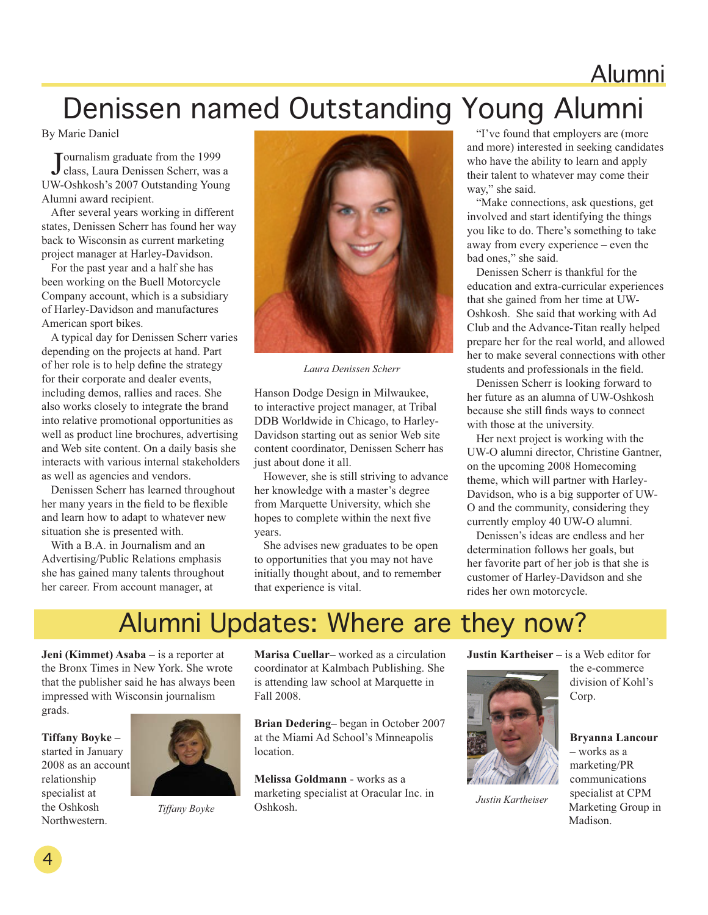# Alumni Denissen named Outstanding Young Alumni

By Marie Daniel

Journalism graduate from the 1999<br>class, Laura Denissen Scherr, was a ournalism graduate from the 1999 UW-Oshkosh's 2007 Outstanding Young Alumni award recipient.

After several years working in different states, Denissen Scherr has found her way back to Wisconsin as current marketing project manager at Harley-Davidson.

For the past year and a half she has been working on the Buell Motorcycle Company account, which is a subsidiary of Harley-Davidson and manufactures American sport bikes.

A typical day for Denissen Scherr varies depending on the projects at hand. Part of her role is to help define the strategy for their corporate and dealer events, including demos, rallies and races. She also works closely to integrate the brand into relative promotional opportunities as well as product line brochures, advertising and Web site content. On a daily basis she interacts with various internal stakeholders as well as agencies and vendors.

Denissen Scherr has learned throughout her many years in the field to be flexible and learn how to adapt to whatever new situation she is presented with.

With a B.A. in Journalism and an Advertising/Public Relations emphasis she has gained many talents throughout her career. From account manager, at



*Laura Denissen Scherr*

Hanson Dodge Design in Milwaukee, to interactive project manager, at Tribal DDB Worldwide in Chicago, to Harley-Davidson starting out as senior Web site content coordinator, Denissen Scherr has just about done it all.

However, she is still striving to advance her knowledge with a master's degree from Marquette University, which she hopes to complete within the next five years.

She advises new graduates to be open to opportunities that you may not have initially thought about, and to remember that experience is vital.

"I've found that employers are (more and more) interested in seeking candidates who have the ability to learn and apply their talent to whatever may come their way," she said.

"Make connections, ask questions, get involved and start identifying the things you like to do. There's something to take away from every experience – even the bad ones," she said.

Denissen Scherr is thankful for the education and extra-curricular experiences that she gained from her time at UW-Oshkosh. She said that working with Ad Club and the Advance-Titan really helped prepare her for the real world, and allowed her to make several connections with other students and professionals in the field.

Denissen Scherr is looking forward to her future as an alumna of UW-Oshkosh because she still finds ways to connect with those at the university.

Her next project is working with the UW-O alumni director, Christine Gantner, on the upcoming 2008 Homecoming theme, which will partner with Harley-Davidson, who is a big supporter of UW-O and the community, considering they currently employ 40 UW-O alumni.

Denissen's ideas are endless and her determination follows her goals, but her favorite part of her job is that she is customer of Harley-Davidson and she rides her own motorcycle.

## Alumni Updates: Where are they now?

**Jeni (Kimmet) Asaba** – is a reporter at the Bronx Times in New York. She wrote that the publisher said he has always been impressed with Wisconsin journalism grads.

**Tiffany Boyke** –

started in January 2008 as an account relationship specialist at the Oshkosh Northwestern.



*Tiffany Boyke*

**Marisa Cuellar**– worked as a circulation coordinator at Kalmbach Publishing. She is attending law school at Marquette in Fall 2008.

**Brian Dedering**– began in October 2007 at the Miami Ad School's Minneapolis location.

**Melissa Goldmann** - works as a marketing specialist at Oracular Inc. in Oshkosh.

**Justin Kartheiser** – is a Web editor for



*Justin Kartheiser*

the e-commerce division of Kohl's Corp.

#### **Bryanna Lancour**

– works as a marketing/PR communications specialist at CPM Marketing Group in Madison.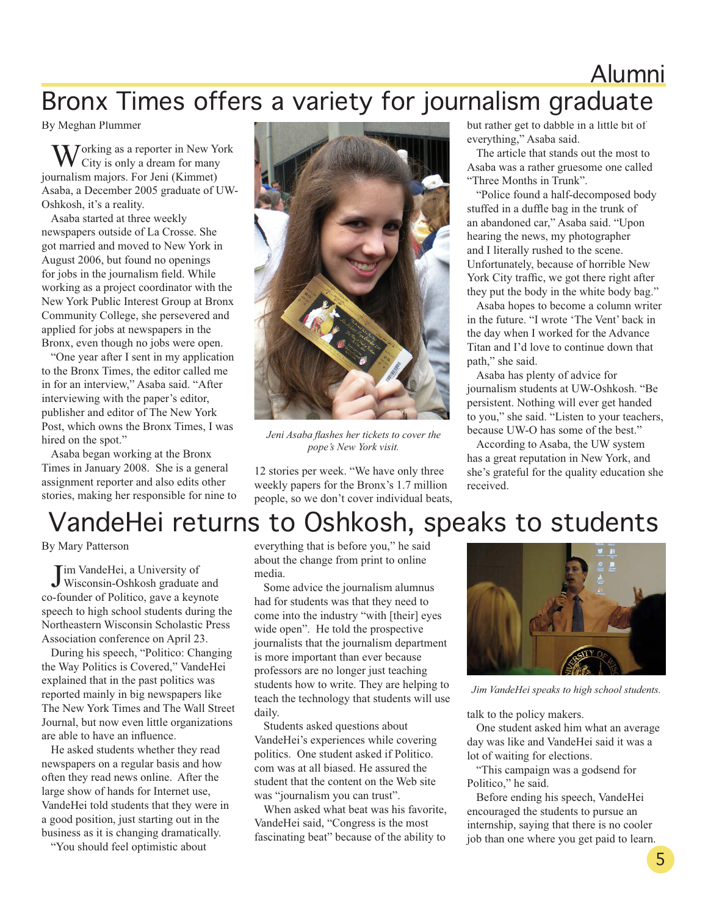## Alumni Bronx Times offers a variety for journalism graduate

By Meghan Plummer

**T** orking as a reporter in New York City is only a dream for many journalism majors. For Jeni (Kimmet) Asaba, a December 2005 graduate of UW-Oshkosh, it's a reality.

Asaba started at three weekly newspapers outside of La Crosse. She got married and moved to New York in August 2006, but found no openings for jobs in the journalism field. While working as a project coordinator with the New York Public Interest Group at Bronx Community College, she persevered and applied for jobs at newspapers in the Bronx, even though no jobs were open.

"One year after I sent in my application to the Bronx Times, the editor called me in for an interview," Asaba said. "After interviewing with the paper's editor, publisher and editor of The New York Post, which owns the Bronx Times, I was hired on the spot."

Asaba began working at the Bronx Times in January 2008. She is a general assignment reporter and also edits other stories, making her responsible for nine to



*Jeni Asaba flashes her tickets to cover the pope's New York visit.* 

12 stories per week. "We have only three weekly papers for the Bronx's 1.7 million people, so we don't cover individual beats, but rather get to dabble in a little bit of everything," Asaba said.

The article that stands out the most to Asaba was a rather gruesome one called "Three Months in Trunk".

"Police found a half-decomposed body stuffed in a duffle bag in the trunk of an abandoned car," Asaba said. "Upon hearing the news, my photographer and I literally rushed to the scene. Unfortunately, because of horrible New York City traffic, we got there right after they put the body in the white body bag."

Asaba hopes to become a column writer in the future. "I wrote 'The Vent' back in the day when I worked for the Advance Titan and I'd love to continue down that path," she said.

Asaba has plenty of advice for journalism students at UW-Oshkosh. "Be persistent. Nothing will ever get handed to you," she said. "Listen to your teachers, because UW-O has some of the best."

According to Asaba, the UW system has a great reputation in New York, and she's grateful for the quality education she received.

# VandeHei returns to Oshkosh, speaks to students

By Mary Patterson

**J** im VandeHei, a University of<br>Wisconsin-Oshkosh graduate and im VandeHei, a University of co-founder of Politico, gave a keynote speech to high school students during the Northeastern Wisconsin Scholastic Press Association conference on April 23.

During his speech, "Politico: Changing the Way Politics is Covered," VandeHei explained that in the past politics was reported mainly in big newspapers like The New York Times and The Wall Street Journal, but now even little organizations are able to have an influence.

He asked students whether they read newspapers on a regular basis and how often they read news online. After the large show of hands for Internet use, VandeHei told students that they were in a good position, just starting out in the business as it is changing dramatically.

"You should feel optimistic about

everything that is before you," he said about the change from print to online media.

Some advice the journalism alumnus had for students was that they need to come into the industry "with [their] eyes wide open". He told the prospective journalists that the journalism department is more important than ever because professors are no longer just teaching students how to write. They are helping to teach the technology that students will use daily.

Students asked questions about VandeHei's experiences while covering politics. One student asked if Politico. com was at all biased. He assured the student that the content on the Web site was "journalism you can trust".

When asked what beat was his favorite, VandeHei said, "Congress is the most fascinating beat" because of the ability to



*Jim VandeHei speaks to high school students.* 

talk to the policy makers.

One student asked him what an average day was like and VandeHei said it was a lot of waiting for elections.

"This campaign was a godsend for Politico," he said.

Before ending his speech, VandeHei encouraged the students to pursue an internship, saying that there is no cooler job than one where you get paid to learn.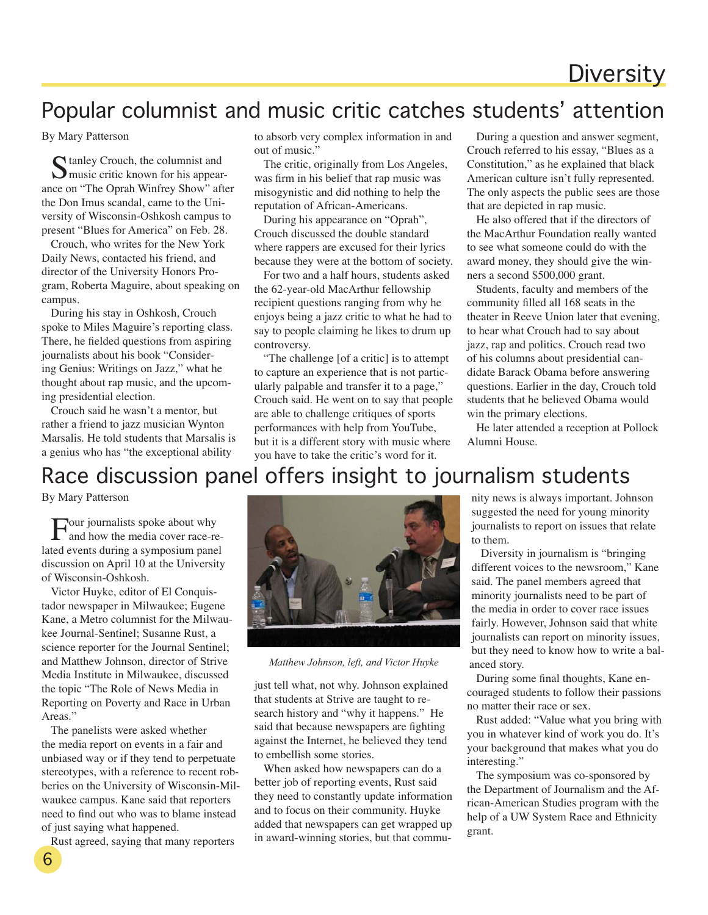## **Diversity**

#### Popular columnist and music critic catches students' attention

By Mary Patterson

Stanley Crouch, the columnist and<br>
Smusic critic known for his appearance on "The Oprah Winfrey Show" after the Don Imus scandal, came to the University of Wisconsin-Oshkosh campus to present "Blues for America" on Feb. 28.

Crouch, who writes for the New York Daily News, contacted his friend, and director of the University Honors Program, Roberta Maguire, about speaking on campus.

During his stay in Oshkosh, Crouch spoke to Miles Maguire's reporting class. There, he fielded questions from aspiring journalists about his book "Considering Genius: Writings on Jazz," what he thought about rap music, and the upcoming presidential election.

Crouch said he wasn't a mentor, but rather a friend to jazz musician Wynton Marsalis. He told students that Marsalis is a genius who has "the exceptional ability

to absorb very complex information in and out of music."

The critic, originally from Los Angeles, was firm in his belief that rap music was misogynistic and did nothing to help the reputation of African-Americans.

During his appearance on "Oprah", Crouch discussed the double standard where rappers are excused for their lyrics because they were at the bottom of society.

For two and a half hours, students asked the 62-year-old MacArthur fellowship recipient questions ranging from why he enjoys being a jazz critic to what he had to say to people claiming he likes to drum up controversy.

"The challenge [of a critic] is to attempt to capture an experience that is not particularly palpable and transfer it to a page," Crouch said. He went on to say that people are able to challenge critiques of sports performances with help from YouTube, but it is a different story with music where you have to take the critic's word for it.

During a question and answer segment, Crouch referred to his essay, "Blues as a Constitution," as he explained that black American culture isn't fully represented. The only aspects the public sees are those that are depicted in rap music.

He also offered that if the directors of the MacArthur Foundation really wanted to see what someone could do with the award money, they should give the winners a second \$500,000 grant.

Students, faculty and members of the community filled all 168 seats in the theater in Reeve Union later that evening, to hear what Crouch had to say about jazz, rap and politics. Crouch read two of his columns about presidential candidate Barack Obama before answering questions. Earlier in the day, Crouch told students that he believed Obama would win the primary elections.

He later attended a reception at Pollock Alumni House.

#### Race discussion panel offers insight to journalism students

By Mary Patterson

Four journalists spoke about why and how the media cover race-related events during a symposium panel discussion on April 10 at the University of Wisconsin-Oshkosh.

Victor Huyke, editor of El Conquistador newspaper in Milwaukee; Eugene Kane, a Metro columnist for the Milwaukee Journal-Sentinel; Susanne Rust, a science reporter for the Journal Sentinel; and Matthew Johnson, director of Strive Media Institute in Milwaukee, discussed the topic "The Role of News Media in Reporting on Poverty and Race in Urban Areas."

The panelists were asked whether the media report on events in a fair and unbiased way or if they tend to perpetuate stereotypes, with a reference to recent robberies on the University of Wisconsin-Milwaukee campus. Kane said that reporters need to find out who was to blame instead of just saying what happened.

Rust agreed, saying that many reporters

6



*Matthew Johnson, left, and Victor Huyke*

just tell what, not why. Johnson explained that students at Strive are taught to research history and "why it happens." He said that because newspapers are fighting against the Internet, he believed they tend to embellish some stories.

When asked how newspapers can do a better job of reporting events, Rust said they need to constantly update information and to focus on their community. Huyke added that newspapers can get wrapped up in award-winning stories, but that commu-

nity news is always important. Johnson suggested the need for young minority journalists to report on issues that relate to them.

Diversity in journalism is "bringing different voices to the newsroom," Kane said. The panel members agreed that minority journalists need to be part of the media in order to cover race issues fairly. However, Johnson said that white journalists can report on minority issues, but they need to know how to write a balanced story.

During some final thoughts, Kane encouraged students to follow their passions no matter their race or sex.

Rust added: "Value what you bring with you in whatever kind of work you do. It's your background that makes what you do interesting."

The symposium was co-sponsored by the Department of Journalism and the African-American Studies program with the help of a UW System Race and Ethnicity grant.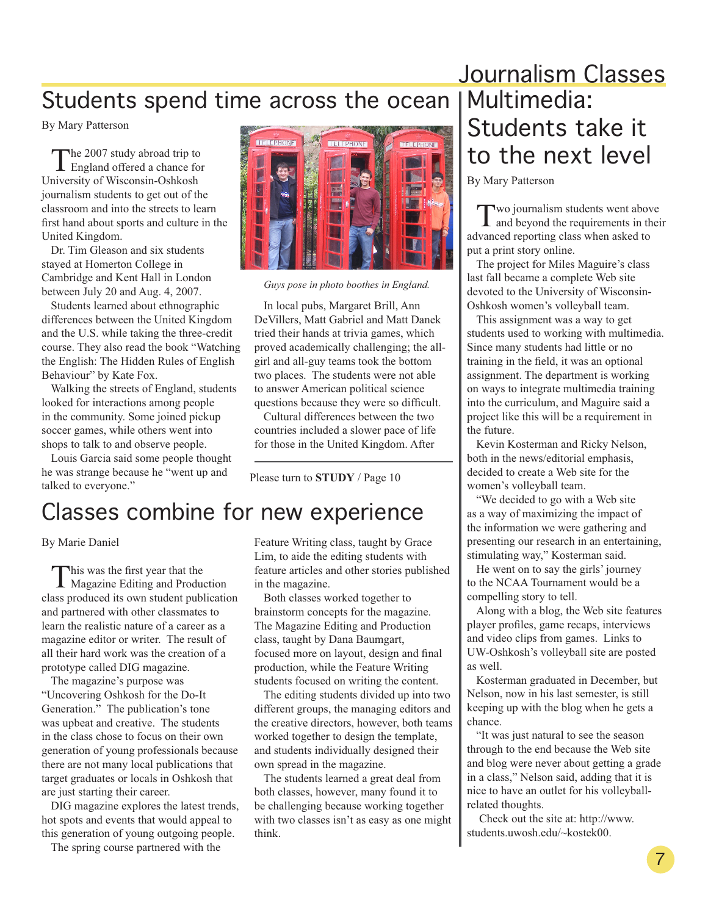### Students spend time across the ocean

By Mary Patterson

The 2007 study abroad trip to<br>England offered a chance for University of Wisconsin-Oshkosh journalism students to get out of the classroom and into the streets to learn first hand about sports and culture in the United Kingdom.

Dr. Tim Gleason and six students stayed at Homerton College in Cambridge and Kent Hall in London between July 20 and Aug. 4, 2007.

Students learned about ethnographic differences between the United Kingdom and the U.S. while taking the three-credit course. They also read the book "Watching the English: The Hidden Rules of English Behaviour" by Kate Fox.

Walking the streets of England, students looked for interactions among people in the community. Some joined pickup soccer games, while others went into shops to talk to and observe people.

Louis Garcia said some people thought he was strange because he "went up and talked to everyone."



*Guys pose in photo boothes in England.*

In local pubs, Margaret Brill, Ann DeVillers, Matt Gabriel and Matt Danek tried their hands at trivia games, which proved academically challenging; the allgirl and all-guy teams took the bottom two places. The students were not able to answer American political science questions because they were so difficult.

Cultural differences between the two countries included a slower pace of life for those in the United Kingdom. After

Please turn to **STUDY** / Page 10

### Classes combine for new experience

#### By Marie Daniel

This was the first year that the Magazine Editing and Production class produced its own student publication and partnered with other classmates to learn the realistic nature of a career as a magazine editor or writer. The result of all their hard work was the creation of a prototype called DIG magazine.

The magazine's purpose was "Uncovering Oshkosh for the Do-It Generation." The publication's tone was upbeat and creative. The students in the class chose to focus on their own generation of young professionals because there are not many local publications that target graduates or locals in Oshkosh that are just starting their career.

DIG magazine explores the latest trends, hot spots and events that would appeal to this generation of young outgoing people.

The spring course partnered with the

Feature Writing class, taught by Grace Lim, to aide the editing students with feature articles and other stories published in the magazine.

Both classes worked together to brainstorm concepts for the magazine. The Magazine Editing and Production class, taught by Dana Baumgart, focused more on layout, design and final production, while the Feature Writing students focused on writing the content.

The editing students divided up into two different groups, the managing editors and the creative directors, however, both teams worked together to design the template, and students individually designed their own spread in the magazine.

The students learned a great deal from both classes, however, many found it to be challenging because working together with two classes isn't as easy as one might think.

## Journalism Classes Multimedia: Students take it to the next level

By Mary Patterson

Two journalism students went above and beyond the requirements in their advanced reporting class when asked to put a print story online.

The project for Miles Maguire's class last fall became a complete Web site devoted to the University of Wisconsin-Oshkosh women's volleyball team.

This assignment was a way to get students used to working with multimedia. Since many students had little or no training in the field, it was an optional assignment. The department is working on ways to integrate multimedia training into the curriculum, and Maguire said a project like this will be a requirement in the future.

Kevin Kosterman and Ricky Nelson, both in the news/editorial emphasis, decided to create a Web site for the women's volleyball team.

"We decided to go with a Web site as a way of maximizing the impact of the information we were gathering and presenting our research in an entertaining, stimulating way," Kosterman said.

He went on to say the girls' journey to the NCAA Tournament would be a compelling story to tell.

Along with a blog, the Web site features player profiles, game recaps, interviews and video clips from games. Links to UW-Oshkosh's volleyball site are posted as well.

Kosterman graduated in December, but Nelson, now in his last semester, is still keeping up with the blog when he gets a chance.

"It was just natural to see the season through to the end because the Web site and blog were never about getting a grade in a class," Nelson said, adding that it is nice to have an outlet for his volleyballrelated thoughts.

 Check out the site at: http://www. students.uwosh.edu/~kostek00.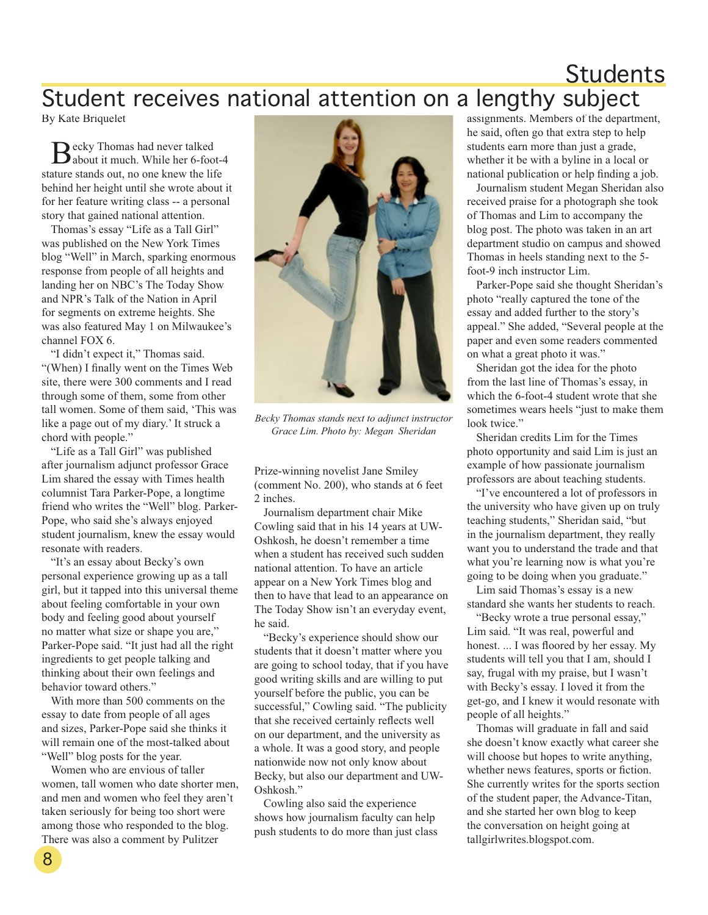#### Students Student receives national attention on a lengthy subject

By Kate Briquelet

Becky Thomas had never talked<br>about it much. While her 6-foot-4 stature stands out, no one knew the life behind her height until she wrote about it for her feature writing class -- a personal story that gained national attention.

Thomas's essay "Life as a Tall Girl" was published on the New York Times blog "Well" in March, sparking enormous response from people of all heights and landing her on NBC's The Today Show and NPR's Talk of the Nation in April for segments on extreme heights. She was also featured May 1 on Milwaukee's channel FOX 6.

"I didn't expect it," Thomas said. "(When) I finally went on the Times Web site, there were 300 comments and I read through some of them, some from other tall women. Some of them said, 'This was like a page out of my diary.' It struck a chord with people."

"Life as a Tall Girl" was published after journalism adjunct professor Grace Lim shared the essay with Times health columnist Tara Parker-Pope, a longtime friend who writes the "Well" blog. Parker-Pope, who said she's always enjoyed student journalism, knew the essay would resonate with readers.

"It's an essay about Becky's own personal experience growing up as a tall girl, but it tapped into this universal theme about feeling comfortable in your own body and feeling good about yourself no matter what size or shape you are," Parker-Pope said. "It just had all the right ingredients to get people talking and thinking about their own feelings and behavior toward others."

With more than 500 comments on the essay to date from people of all ages and sizes, Parker-Pope said she thinks it will remain one of the most-talked about "Well" blog posts for the year.

Women who are envious of taller women, tall women who date shorter men, and men and women who feel they aren't taken seriously for being too short were among those who responded to the blog. There was also a comment by Pulitzer



*Becky Thomas stands next to adjunct instructor Grace Lim. Photo by: Megan Sheridan* 

Prize-winning novelist Jane Smiley (comment No. 200), who stands at 6 feet 2 inches.

Journalism department chair Mike Cowling said that in his 14 years at UW-Oshkosh, he doesn't remember a time when a student has received such sudden national attention. To have an article appear on a New York Times blog and then to have that lead to an appearance on The Today Show isn't an everyday event, he said.

"Becky's experience should show our students that it doesn't matter where you are going to school today, that if you have good writing skills and are willing to put yourself before the public, you can be successful," Cowling said. "The publicity that she received certainly reflects well on our department, and the university as a whole. It was a good story, and people nationwide now not only know about Becky, but also our department and UW-Oshkosh."

Cowling also said the experience shows how journalism faculty can help push students to do more than just class assignments. Members of the department, he said, often go that extra step to help students earn more than just a grade, whether it be with a byline in a local or national publication or help finding a job.

Journalism student Megan Sheridan also received praise for a photograph she took of Thomas and Lim to accompany the blog post. The photo was taken in an art department studio on campus and showed Thomas in heels standing next to the 5 foot-9 inch instructor Lim.

Parker-Pope said she thought Sheridan's photo "really captured the tone of the essay and added further to the story's appeal." She added, "Several people at the paper and even some readers commented on what a great photo it was."

Sheridan got the idea for the photo from the last line of Thomas's essay, in which the 6-foot-4 student wrote that she sometimes wears heels "just to make them look twice."

Sheridan credits Lim for the Times photo opportunity and said Lim is just an example of how passionate journalism professors are about teaching students.

"I've encountered a lot of professors in the university who have given up on truly teaching students," Sheridan said, "but in the journalism department, they really want you to understand the trade and that what you're learning now is what you're going to be doing when you graduate."

Lim said Thomas's essay is a new standard she wants her students to reach.

"Becky wrote a true personal essay," Lim said. "It was real, powerful and honest. ... I was floored by her essay. My students will tell you that I am, should I say, frugal with my praise, but I wasn't with Becky's essay. I loved it from the get-go, and I knew it would resonate with people of all heights."

Thomas will graduate in fall and said she doesn't know exactly what career she will choose but hopes to write anything, whether news features, sports or fiction. She currently writes for the sports section of the student paper, the Advance-Titan, and she started her own blog to keep the conversation on height going at tallgirlwrites.blogspot.com.

8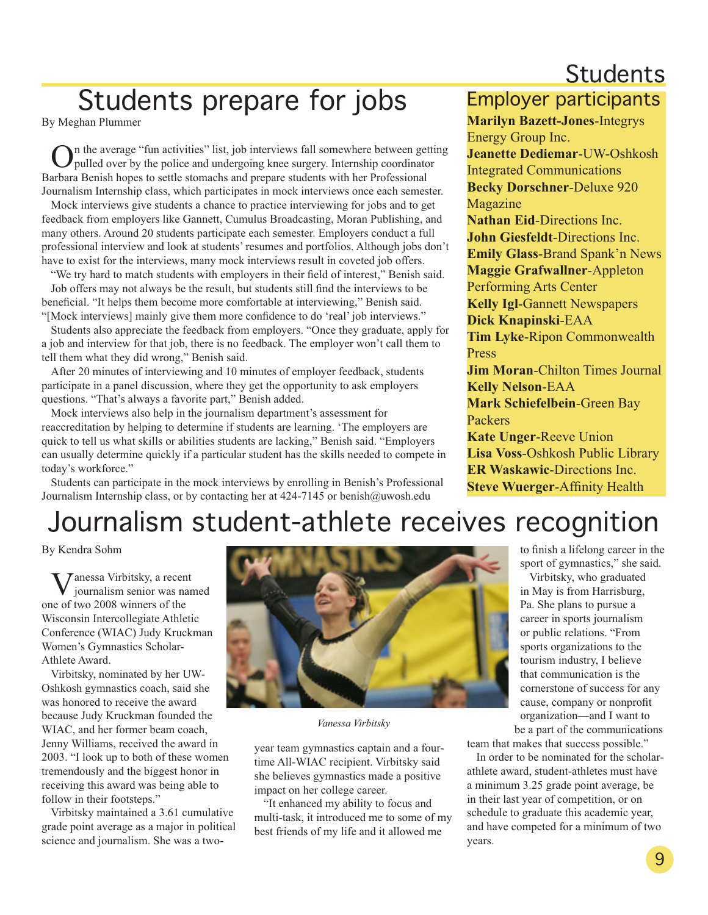## **Students**

# Students prepare for jobs Employer participants

By Meghan Plummer

On the average "fun activities" list, job interviews fall somewhere between getting pulled over by the police and undergoing knee surgery. Internship coordinator Barbara Benish hopes to settle stomachs and prepare students with her Professional Journalism Internship class, which participates in mock interviews once each semester.

Mock interviews give students a chance to practice interviewing for jobs and to get feedback from employers like Gannett, Cumulus Broadcasting, Moran Publishing, and many others. Around 20 students participate each semester. Employers conduct a full professional interview and look at students' resumes and portfolios. Although jobs don't have to exist for the interviews, many mock interviews result in coveted job offers.

"We try hard to match students with employers in their field of interest," Benish said. Job offers may not always be the result, but students still find the interviews to be beneficial. "It helps them become more comfortable at interviewing," Benish said. "[Mock interviews] mainly give them more confidence to do 'real' job interviews."

Students also appreciate the feedback from employers. "Once they graduate, apply for a job and interview for that job, there is no feedback. The employer won't call them to tell them what they did wrong," Benish said.

After 20 minutes of interviewing and 10 minutes of employer feedback, students participate in a panel discussion, where they get the opportunity to ask employers questions. "That's always a favorite part," Benish added.

Mock interviews also help in the journalism department's assessment for reaccreditation by helping to determine if students are learning. 'The employers are quick to tell us what skills or abilities students are lacking," Benish said. "Employers can usually determine quickly if a particular student has the skills needed to compete in today's workforce."

Students can participate in the mock interviews by enrolling in Benish's Professional Journalism Internship class, or by contacting her at 424-7145 or benish@uwosh.edu

**Marilyn Bazett-Jones**-Integrys Energy Group Inc.

**Jeanette Dediemar**-UW-Oshkosh Integrated Communications **Becky Dorschner**-Deluxe 920 Magazine

**Nathan Eid**-Directions Inc. **John Giesfeldt**-Directions Inc. **Emily Glass**-Brand Spank'n News **Maggie Grafwallner**-Appleton Performing Arts Center **Kelly Igl**-Gannett Newspapers **Dick Knapinski**-EAA **Tim Lyke**-Ripon Commonwealth Press **Jim Moran**-Chilton Times Journal **Kelly Nelson**-EAA **Mark Schiefelbein**-Green Bay Packers **Kate Unger**-Reeve Union **Lisa Voss**-Oshkosh Public Library **ER Waskawic**-Directions Inc.

**Steve Wuerger**-Affinity Health

# Journalism student-athlete receives recognition

By Kendra Sohm

**Janessa Virbitsky**, a recent journalism senior was named one of two 2008 winners of the Wisconsin Intercollegiate Athletic Conference (WIAC) Judy Kruckman Women's Gymnastics Scholar-Athlete Award.

Virbitsky, nominated by her UW-Oshkosh gymnastics coach, said she was honored to receive the award because Judy Kruckman founded the WIAC, and her former beam coach, Jenny Williams, received the award in 2003. "I look up to both of these women tremendously and the biggest honor in receiving this award was being able to follow in their footsteps."

Virbitsky maintained a 3.61 cumulative grade point average as a major in political science and journalism. She was a two-



*Vanessa Virbitsky*

year team gymnastics captain and a fourtime All-WIAC recipient. Virbitsky said she believes gymnastics made a positive impact on her college career.

"It enhanced my ability to focus and multi-task, it introduced me to some of my best friends of my life and it allowed me

to finish a lifelong career in the sport of gymnastics," she said.

Virbitsky, who graduated in May is from Harrisburg, Pa. She plans to pursue a career in sports journalism or public relations. "From sports organizations to the tourism industry, I believe that communication is the cornerstone of success for any cause, company or nonprofit organization—and I want to be a part of the communications

team that makes that success possible."

In order to be nominated for the scholarathlete award, student-athletes must have a minimum 3.25 grade point average, be in their last year of competition, or on schedule to graduate this academic year, and have competed for a minimum of two years.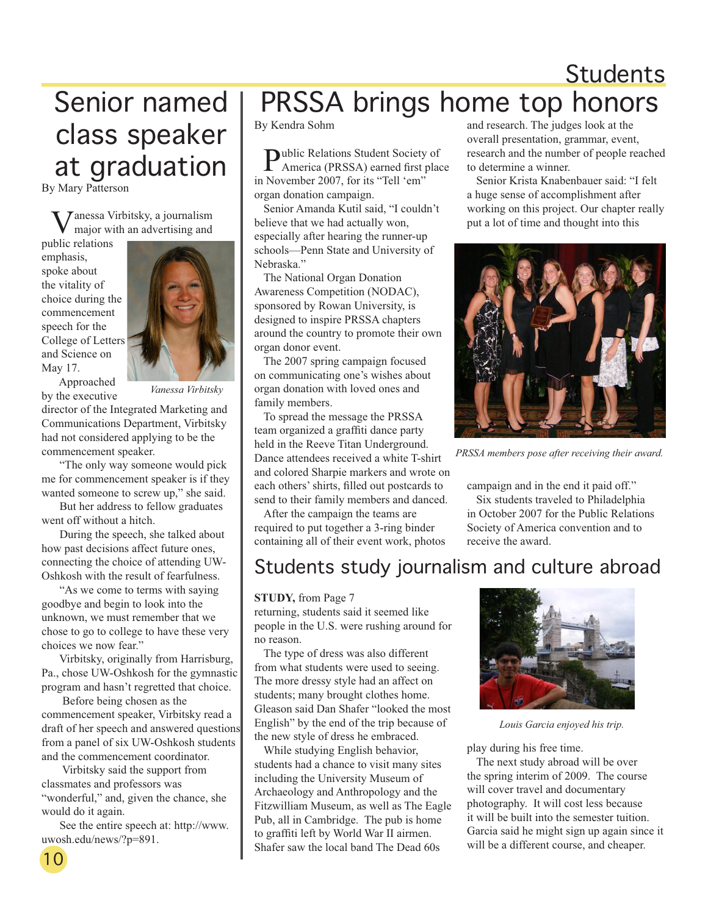# **Students**

# Senior named class speaker at graduation

By Mary Patterson

Vanessa Virbitsky, a journalism major with an advertising and

public relations emphasis, spoke about the vitality of choice during the commencement speech for the College of Letters and Science on May 17.



 Approached by the executive

*Vanessa Virbitsky*

director of the Integrated Marketing and Communications Department, Virbitsky had not considered applying to be the commencement speaker.

 "The only way someone would pick me for commencement speaker is if they wanted someone to screw up," she said.

 But her address to fellow graduates went off without a hitch.

 During the speech, she talked about how past decisions affect future ones, connecting the choice of attending UW-Oshkosh with the result of fearfulness.

 "As we come to terms with saying goodbye and begin to look into the unknown, we must remember that we chose to go to college to have these very choices we now fear."

 Virbitsky, originally from Harrisburg, Pa., chose UW-Oshkosh for the gymnastic program and hasn't regretted that choice.

 Before being chosen as the commencement speaker, Virbitsky read a draft of her speech and answered questions from a panel of six UW-Oshkosh students and the commencement coordinator.

 Virbitsky said the support from classmates and professors was "wonderful," and, given the chance, she would do it again.

 See the entire speech at: http://www. uwosh.edu/news/?p=891.

## PRSSA brings home top honors

By Kendra Sohm

Public Relations Student Society of<br>America (PRSSA) earned first place in November 2007, for its "Tell 'em" organ donation campaign.

Senior Amanda Kutil said, "I couldn't believe that we had actually won, especially after hearing the runner-up schools—Penn State and University of Nebraska."

The National Organ Donation Awareness Competition (NODAC), sponsored by Rowan University, is designed to inspire PRSSA chapters around the country to promote their own organ donor event.

The 2007 spring campaign focused on communicating one's wishes about organ donation with loved ones and family members.

To spread the message the PRSSA team organized a graffiti dance party held in the Reeve Titan Underground. Dance attendees received a white T-shirt and colored Sharpie markers and wrote on each others' shirts, filled out postcards to send to their family members and danced.

After the campaign the teams are required to put together a 3-ring binder containing all of their event work, photos

#### Students study journalism and culture abroad

#### **STUDY,** from Page 7

returning, students said it seemed like people in the U.S. were rushing around for no reason.

The type of dress was also different from what students were used to seeing. The more dressy style had an affect on students; many brought clothes home. Gleason said Dan Shafer "looked the most English" by the end of the trip because of the new style of dress he embraced.

While studying English behavior, students had a chance to visit many sites including the University Museum of Archaeology and Anthropology and the Fitzwilliam Museum, as well as The Eagle Pub, all in Cambridge. The pub is home to graffiti left by World War II airmen. Shafer saw the local band The Dead 60s

and research. The judges look at the overall presentation, grammar, event, research and the number of people reached to determine a winner.

Senior Krista Knabenbauer said: "I felt a huge sense of accomplishment after working on this project. Our chapter really put a lot of time and thought into this



*PRSSA members pose after receiving their award.*

campaign and in the end it paid off."

Six students traveled to Philadelphia in October 2007 for the Public Relations Society of America convention and to receive the award.



*Louis Garcia enjoyed his trip.*

play during his free time.

The next study abroad will be over the spring interim of 2009. The course will cover travel and documentary photography. It will cost less because it will be built into the semester tuition. Garcia said he might sign up again since it will be a different course, and cheaper.

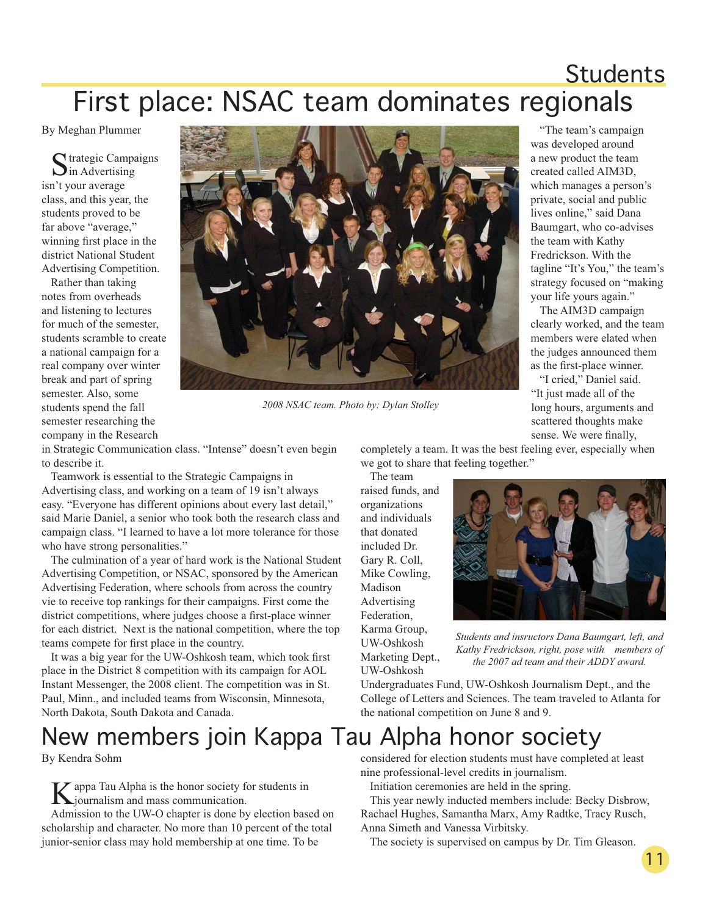## Students First place: NSAC team dominates regionals

By Meghan Plummer

C trategic Campaigns  $\sum$  in Advertising isn't your average class, and this year, the students proved to be far above "average," winning first place in the district National Student Advertising Competition.

Rather than taking notes from overheads and listening to lectures for much of the semester, students scramble to create a national campaign for a real company over winter break and part of spring semester. Also, some students spend the fall semester researching the company in the Research



*2008 NSAC team. Photo by: Dylan Stolley* 

in Strategic Communication class. "Intense" doesn't even begin to describe it.

Teamwork is essential to the Strategic Campaigns in Advertising class, and working on a team of 19 isn't always easy. "Everyone has different opinions about every last detail," said Marie Daniel, a senior who took both the research class and campaign class. "I learned to have a lot more tolerance for those who have strong personalities."

The culmination of a year of hard work is the National Student Advertising Competition, or NSAC, sponsored by the American Advertising Federation, where schools from across the country vie to receive top rankings for their campaigns. First come the district competitions, where judges choose a first-place winner for each district. Next is the national competition, where the top teams compete for first place in the country.

It was a big year for the UW-Oshkosh team, which took first place in the District 8 competition with its campaign for AOL Instant Messenger, the 2008 client. The competition was in St. Paul, Minn., and included teams from Wisconsin, Minnesota, North Dakota, South Dakota and Canada.

## New members join Kappa Tau Alpha honor society

By Kendra Sohm

K appa Tau Alpha is the honor society for students in journalism and mass communication.

Admission to the UW-O chapter is done by election based on scholarship and character. No more than 10 percent of the total junior-senior class may hold membership at one time. To be

completely a team. It was the best feeling ever, especially when we got to share that feeling together."

The team raised funds, and organizations and individuals that donated included Dr. Gary R. Coll, Mike Cowling, Madison Advertising Federation, Karma Group, UW-Oshkosh Marketing Dept., UW-Oshkosh



*Students and insructors Dana Baumgart, left, and Kathy Fredrickson, right, pose with members of the 2007 ad team and their ADDY award.*

Undergraduates Fund, UW-Oshkosh Journalism Dept., and the College of Letters and Sciences. The team traveled to Atlanta for the national competition on June 8 and 9.

considered for election students must have completed at least nine professional-level credits in journalism.

Initiation ceremonies are held in the spring.

This year newly inducted members include: Becky Disbrow, Rachael Hughes, Samantha Marx, Amy Radtke, Tracy Rusch, Anna Simeth and Vanessa Virbitsky.

The society is supervised on campus by Dr. Tim Gleason.

"The team's campaign was developed around a new product the team created called AIM3D, which manages a person's private, social and public lives online," said Dana Baumgart, who co-advises the team with Kathy Fredrickson. With the tagline "It's You," the team's strategy focused on "making your life yours again."

The AIM3D campaign clearly worked, and the team members were elated when the judges announced them as the first-place winner.

"I cried," Daniel said. "It just made all of the long hours, arguments and scattered thoughts make sense. We were finally,